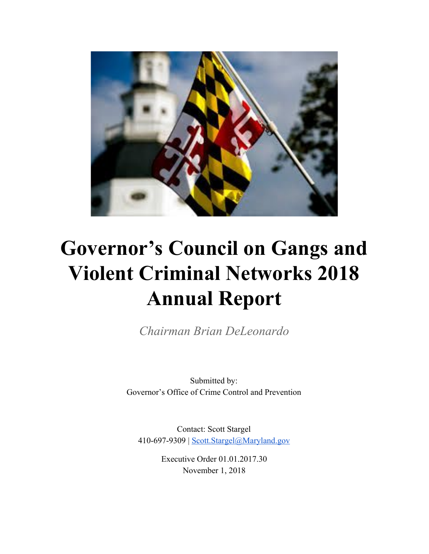

# **Governor's Council on Gangs and Violent Criminal Networks 2018 Annual Report**

*Chairman Brian DeLeonardo*

Submitted by: Governor's Office of Crime Control and Prevention

Contact: Scott Stargel 410-697-9309 | [Scott.Stargel@Maryland.gov](mailto:scott.stargel@maryland.gov)

> Executive Order 01.01.2017.30 November 1, 2018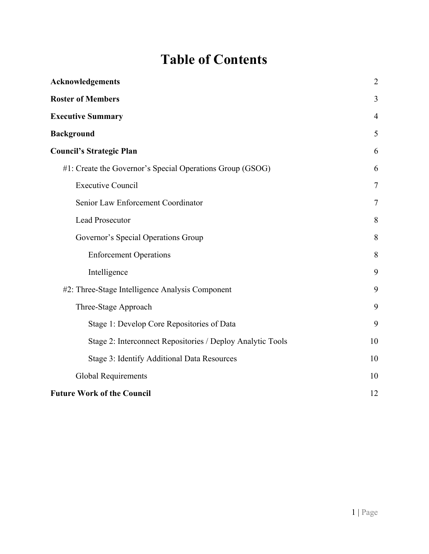# **Table of Contents**

| <b>Acknowledgements</b>                                      | $\overline{2}$ |
|--------------------------------------------------------------|----------------|
| <b>Roster of Members</b>                                     | 3              |
| <b>Executive Summary</b>                                     | 4              |
| <b>Background</b>                                            | 5              |
| <b>Council's Strategic Plan</b>                              | 6              |
| $#1$ : Create the Governor's Special Operations Group (GSOG) | 6              |
| <b>Executive Council</b>                                     | 7              |
| Senior Law Enforcement Coordinator                           | 7              |
| <b>Lead Prosecutor</b>                                       | 8              |
| Governor's Special Operations Group                          | 8              |
| <b>Enforcement Operations</b>                                | 8              |
| Intelligence                                                 | 9              |
| #2: Three-Stage Intelligence Analysis Component              | 9              |
| Three-Stage Approach                                         | 9              |
| Stage 1: Develop Core Repositories of Data                   | 9              |
| Stage 2: Interconnect Repositories / Deploy Analytic Tools   | 10             |
| Stage 3: Identify Additional Data Resources                  | 10             |
| <b>Global Requirements</b>                                   | 10             |
| <b>Future Work of the Council</b>                            | 12             |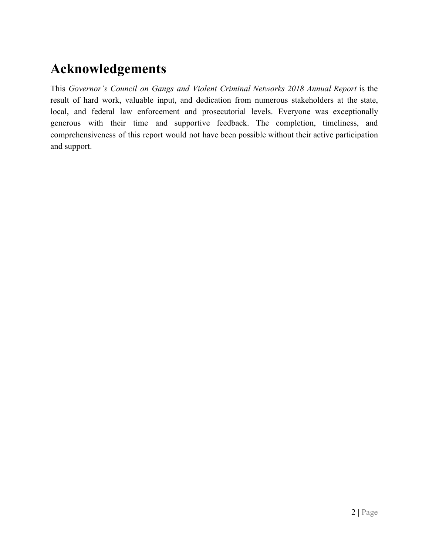### <span id="page-2-0"></span>**Acknowledgements**

This *Governor's Council on Gangs and Violent Criminal Networks 2018 Annual Report* is the result of hard work, valuable input, and dedication from numerous stakeholders at the state, local, and federal law enforcement and prosecutorial levels. Everyone was exceptionally generous with their time and supportive feedback. The completion, timeliness, and comprehensiveness of this report would not have been possible without their active participation and support.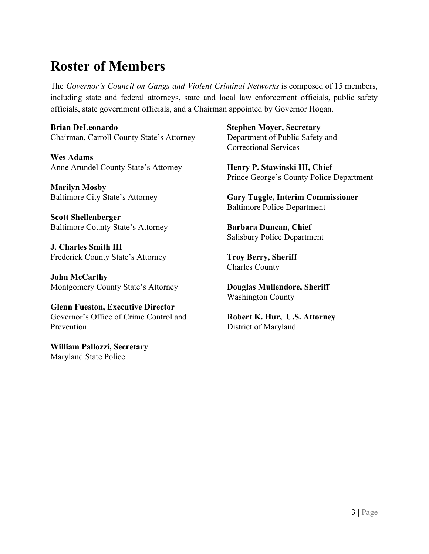### <span id="page-3-0"></span>**Roster of Members**

The *Governor's Council on Gangs and Violent Criminal Networks* is composed of 15 members, including state and federal attorneys, state and local law enforcement officials, public safety officials, state government officials, and a Chairman appointed by Governor Hogan.

**Brian DeLeonardo** Chairman, Carroll County State's Attorney

**Wes Adams** Anne Arundel County State's Attorney

**Marilyn Mosby** Baltimore City State's Attorney

**Scott Shellenberger** Baltimore County State's Attorney

**J. Charles Smith III** Frederick County State's Attorney

**John McCarthy** Montgomery County State's Attorney

**Glenn Fueston, Executive Director** Governor's Office of Crime Control and Prevention

**William Pallozzi, Secretary** Maryland State Police

**Stephen Moyer, Secretary** Department of Public Safety and Correctional Services

**Henry P. Stawinski III, Chief** Prince George's County Police Department

**Gary Tuggle, Interim Commissioner** Baltimore Police Department

**Barbara Duncan, Chief** Salisbury Police Department

**Troy Berry, Sheriff** Charles County

**Douglas Mullendore, Sheriff** Washington County

**Robert K. Hur, U.S. Attorney** District of Maryland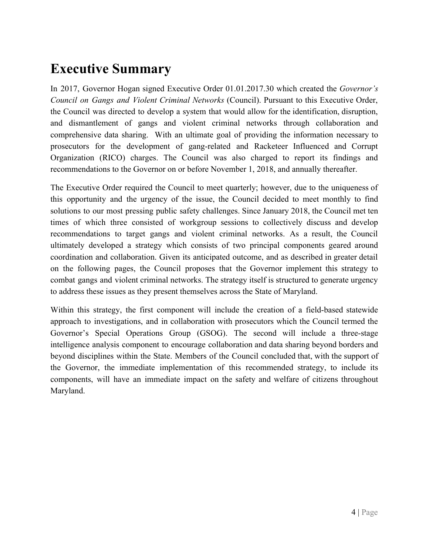### <span id="page-4-0"></span>**Executive Summary**

In 2017, Governor Hogan signed Executive Order 01.01.2017.30 which created the *Governor's Council on Gangs and Violent Criminal Networks* (Council). Pursuant to this Executive Order, the Council was directed to develop a system that would allow for the identification, disruption, and dismantlement of gangs and violent criminal networks through collaboration and comprehensive data sharing. With an ultimate goal of providing the information necessary to prosecutors for the development of gang-related and Racketeer Influenced and Corrupt Organization (RICO) charges. The Council was also charged to report its findings and recommendations to the Governor on or before November 1, 2018, and annually thereafter.

The Executive Order required the Council to meet quarterly; however, due to the uniqueness of this opportunity and the urgency of the issue, the Council decided to meet monthly to find solutions to our most pressing public safety challenges. Since January 2018, the Council met ten times of which three consisted of workgroup sessions to collectively discuss and develop recommendations to target gangs and violent criminal networks. As a result, the Council ultimately developed a strategy which consists of two principal components geared around coordination and collaboration. Given its anticipated outcome, and as described in greater detail on the following pages, the Council proposes that the Governor implement this strategy to combat gangs and violent criminal networks. The strategy itself is structured to generate urgency to address these issues as they present themselves across the State of Maryland.

Within this strategy, the first component will include the creation of a field-based statewide approach to investigations, and in collaboration with prosecutors which the Council termed the Governor's Special Operations Group (GSOG). The second will include a three-stage intelligence analysis component to encourage collaboration and data sharing beyond borders and beyond disciplines within the State. Members of the Council concluded that, with the support of the Governor, the immediate implementation of this recommended strategy, to include its components, will have an immediate impact on the safety and welfare of citizens throughout Maryland.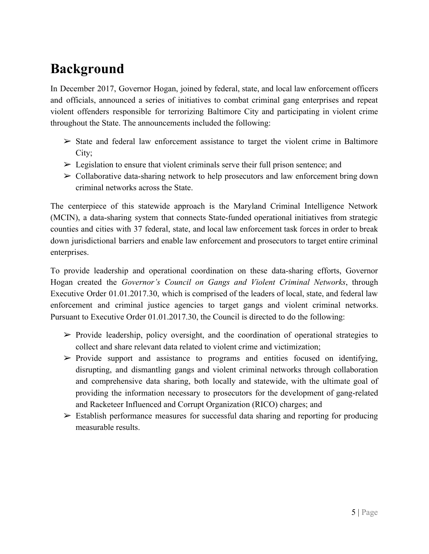### <span id="page-5-0"></span>**Background**

In December 2017, Governor Hogan, joined by federal, state, and local law enforcement officers and officials, announced a series of initiatives to combat criminal gang enterprises and repeat violent offenders responsible for terrorizing Baltimore City and participating in violent crime throughout the State. The announcements included the following:

- $\triangleright$  State and federal law enforcement assistance to target the violent crime in Baltimore City;
- $\triangleright$  Legislation to ensure that violent criminals serve their full prison sentence; and
- $\triangleright$  Collaborative data-sharing network to help prosecutors and law enforcement bring down criminal networks across the State.

The centerpiece of this statewide approach is the Maryland Criminal Intelligence Network (MCIN), a data-sharing system that connects State-funded operational initiatives from strategic counties and cities with 37 federal, state, and local law enforcement task forces in order to break down jurisdictional barriers and enable law enforcement and prosecutors to target entire criminal enterprises.

To provide leadership and operational coordination on these data-sharing efforts, Governor Hogan created the *Governor's Council on Gangs and Violent Criminal Networks*, through Executive Order 01.01.2017.30, which is comprised of the leaders of local, state, and federal law enforcement and criminal justice agencies to target gangs and violent criminal networks. Pursuant to Executive Order 01.01.2017.30, the Council is directed to do the following:

- $\triangleright$  Provide leadership, policy oversight, and the coordination of operational strategies to collect and share relevant data related to violent crime and victimization;
- $\triangleright$  Provide support and assistance to programs and entities focused on identifying, disrupting, and dismantling gangs and violent criminal networks through collaboration and comprehensive data sharing, both locally and statewide, with the ultimate goal of providing the information necessary to prosecutors for the development of gang-related and Racketeer Influenced and Corrupt Organization (RICO) charges; and
- $\triangleright$  Establish performance measures for successful data sharing and reporting for producing measurable results.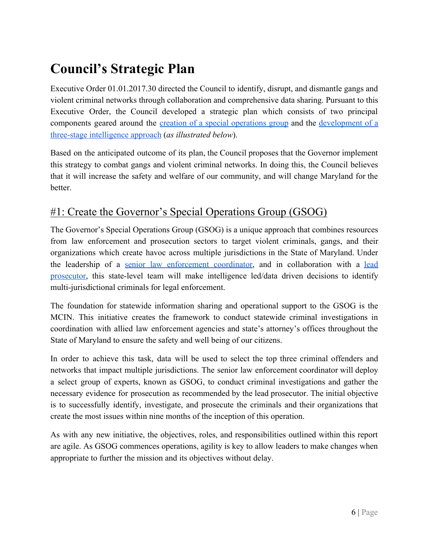# <span id="page-6-0"></span>**Council's Strategic Plan**

Executive Order 01.01.2017.30 directed the Council to identify, disrupt, and dismantle gangs and violent criminal networks through collaboration and comprehensive data sharing. Pursuant to this Executive Order, the Council developed a strategic plan which consists of two principal components geared around the creation of a special [operations](#page-6-1) group and the [development](#page-9-1) of a [three-stage intelligence approach](#page-9-1) (*as illustrated below*).

Based on the anticipated outcome of its plan, the Council proposes that the Governor implement this strategy to combat gangs and violent criminal networks. In doing this, the Council believes that it will increase the safety and welfare of our community, and will change Maryland for the better.

### <span id="page-6-1"></span>#1: Create the Governor's Special Operations Group (GSOG)

The Governor's Special Operations Group (GSOG) is a unique approach that combines resources from law enforcement and prosecution sectors to target violent criminals, gangs, and their organizations which create havoc across multiple jurisdictions in the State of Maryland. Under the leadership of a senior law [enforcement](#page-7-1) coordinator, and in collaboration with a [lead](#page-8-0) [prosecutor,](#page-8-0) this state-level team will make intelligence led/data driven decisions to identify multi-jurisdictional criminals for legal enforcement.

The foundation for statewide information sharing and operational support to the GSOG is the MCIN. This initiative creates the framework to conduct statewide criminal investigations in coordination with allied law enforcement agencies and state's attorney's offices throughout the State of Maryland to ensure the safety and well being of our citizens.

In order to achieve this task, data will be used to select the top three criminal offenders and networks that impact multiple jurisdictions. The senior law enforcement coordinator will deploy a select group of experts, known as GSOG, to conduct criminal investigations and gather the necessary evidence for prosecution as recommended by the lead prosecutor. The initial objective is to successfully identify, investigate, and prosecute the criminals and their organizations that create the most issues within nine months of the inception of this operation.

As with any new initiative, the objectives, roles, and responsibilities outlined within this report are agile. As GSOG commences operations, agility is key to allow leaders to make changes when appropriate to further the mission and its objectives without delay.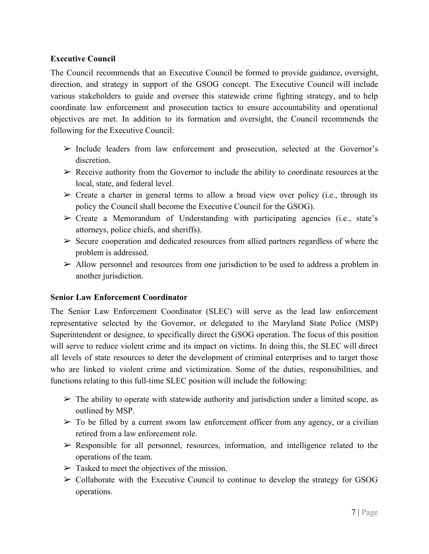#### <span id="page-7-0"></span>**Executive Council**

The Council recommends that an Executive Council be formed to provide guidance, oversight, direction, and strategy in support of the GSOG concept. The Executive Council will include various stakeholders to guide and oversee this statewide crime fighting strategy, and to help coordinate law enforcement and prosecution tactics to ensure accountability and operational objectives are met. In addition to its formation and oversight, the Council recommends the following for the Executive Council:

- $\triangleright$  Include leaders from law enforcement and prosecution, selected at the Governor's discretion.
- $\triangleright$  Receive authority from the Governor to include the ability to coordinate resources at the local, state, and federal level.
- $\triangleright$  Create a charter in general terms to allow a broad view over policy (i.e., through its policy the Council shall become the Executive Council for the GSOG).
- $\triangleright$  Create a Memorandum of Understanding with participating agencies (i.e., state's attorneys, police chiefs, and sheriffs).
- $\triangleright$  Secure cooperation and dedicated resources from allied partners regardless of where the problem is addressed.
- $\triangleright$  Allow personnel and resources from one jurisdiction to be used to address a problem in another jurisdiction.

#### <span id="page-7-1"></span>**Senior Law Enforcement Coordinator**

The Senior Law Enforcement Coordinator (SLEC) will serve as the lead law enforcement representative selected by the Governor, or delegated to the Maryland State Police (MSP) Superintendent or designee, to specifically direct the GSOG operation. The focus of this position will serve to reduce violent crime and its impact on victims. In doing this, the SLEC will direct all levels of state resources to deter the development of criminal enterprises and to target those who are linked to violent crime and victimization. Some of the duties, responsibilities, and functions relating to this full-time SLEC position will include the following:

- $\triangleright$  The ability to operate with statewide authority and jurisdiction under a limited scope, as outlined by MSP.
- $\triangleright$  To be filled by a current sworn law enforcement officer from any agency, or a civilian retired from a law enforcement role.
- $\triangleright$  Responsible for all personnel, resources, information, and intelligence related to the operations of the team.
- $\triangleright$  Tasked to meet the objectives of the mission.
- $\triangleright$  Collaborate with the Executive Council to continue to develop the strategy for GSOG operations.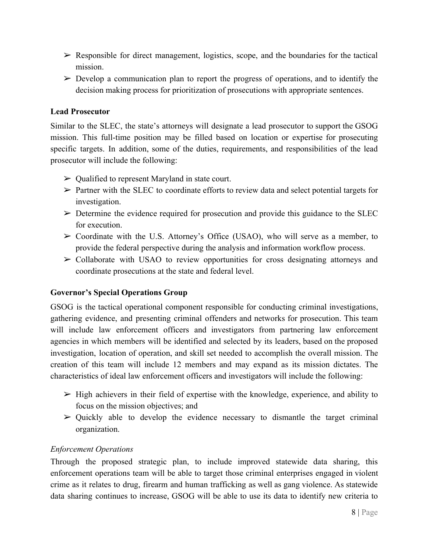- $\triangleright$  Responsible for direct management, logistics, scope, and the boundaries for the tactical mission.
- $\triangleright$  Develop a communication plan to report the progress of operations, and to identify the decision making process for prioritization of prosecutions with appropriate sentences.

#### <span id="page-8-0"></span>**Lead Prosecutor**

Similar to the SLEC, the state's attorneys will designate a lead prosecutor to support the GSOG mission. This full-time position may be filled based on location or expertise for prosecuting specific targets. In addition, some of the duties, requirements, and responsibilities of the lead prosecutor will include the following:

- $\triangleright$  Qualified to represent Maryland in state court.
- $\triangleright$  Partner with the SLEC to coordinate efforts to review data and select potential targets for investigation.
- $\triangleright$  Determine the evidence required for prosecution and provide this guidance to the SLEC for execution.
- $\triangleright$  Coordinate with the U.S. Attorney's Office (USAO), who will serve as a member, to provide the federal perspective during the analysis and information workflow process.
- $\triangleright$  Collaborate with USAO to review opportunities for cross designating attorneys and coordinate prosecutions at the state and federal level.

#### <span id="page-8-1"></span>**Governor's Special Operations Group**

GSOG is the tactical operational component responsible for conducting criminal investigations, gathering evidence, and presenting criminal offenders and networks for prosecution. This team will include law enforcement officers and investigators from partnering law enforcement agencies in which members will be identified and selected by its leaders, based on the proposed investigation, location of operation, and skill set needed to accomplish the overall mission. The creation of this team will include 12 members and may expand as its mission dictates. The characteristics of ideal law enforcement officers and investigators will include the following:

- $\triangleright$  High achievers in their field of expertise with the knowledge, experience, and ability to focus on the mission objectives; and
- $\triangleright$  Quickly able to develop the evidence necessary to dismantle the target criminal organization.

#### <span id="page-8-2"></span>*Enforcement Operations*

Through the proposed strategic plan, to include improved statewide data sharing, this enforcement operations team will be able to target those criminal enterprises engaged in violent crime as it relates to drug, firearm and human trafficking as well as gang violence. As statewide data sharing continues to increase, GSOG will be able to use its data to identify new criteria to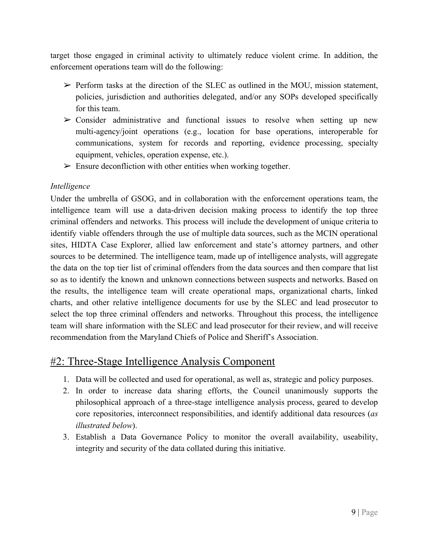target those engaged in criminal activity to ultimately reduce violent crime. In addition, the enforcement operations team will do the following:

- $\triangleright$  Perform tasks at the direction of the SLEC as outlined in the MOU, mission statement, policies, jurisdiction and authorities delegated, and/or any SOPs developed specifically for this team.
- $\geq$  Consider administrative and functional issues to resolve when setting up new multi-agency/joint operations (e.g., location for base operations, interoperable for communications, system for records and reporting, evidence processing, specialty equipment, vehicles, operation expense, etc.).
- $\triangleright$  Ensure deconfliction with other entities when working together.

#### <span id="page-9-0"></span>*Intelligence*

Under the umbrella of GSOG, and in collaboration with the enforcement operations team, the intelligence team will use a data-driven decision making process to identify the top three criminal offenders and networks. This process will include the development of unique criteria to identify viable offenders through the use of multiple data sources, such as the MCIN operational sites, HIDTA Case Explorer, allied law enforcement and state's attorney partners, and other sources to be determined. The intelligence team, made up of intelligence analysts, will aggregate the data on the top tier list of criminal offenders from the data sources and then compare that list so as to identify the known and unknown connections between suspects and networks. Based on the results, the intelligence team will create operational maps, organizational charts, linked charts, and other relative intelligence documents for use by the SLEC and lead prosecutor to select the top three criminal offenders and networks. Throughout this process, the intelligence team will share information with the SLEC and lead prosecutor for their review, and will receive recommendation from the Maryland Chiefs of Police and Sheriff's Association.

### <span id="page-9-1"></span>#2: Three-Stage Intelligence Analysis Component

- 1. Data will be collected and used for operational, as well as, strategic and policy purposes.
- 2. In order to increase data sharing efforts, the Council unanimously supports the philosophical approach of a three-stage intelligence analysis process, geared to develop core repositories, interconnect responsibilities, and identify additional data resources (*as illustrated below*).
- 3. Establish a Data Governance Policy to monitor the overall availability, useability, integrity and security of the data collated during this initiative.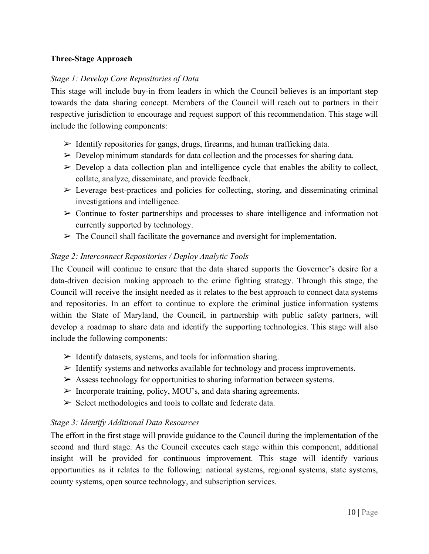#### <span id="page-10-0"></span>**Three-Stage Approach**

#### <span id="page-10-1"></span>*Stage 1: Develop Core Repositories of Data*

This stage will include buy-in from leaders in which the Council believes is an important step towards the data sharing concept. Members of the Council will reach out to partners in their respective jurisdiction to encourage and request support of this recommendation. This stage will include the following components:

- $\triangleright$  Identify repositories for gangs, drugs, firearms, and human trafficking data.
- $\triangleright$  Develop minimum standards for data collection and the processes for sharing data.
- $\triangleright$  Develop a data collection plan and intelligence cycle that enables the ability to collect, collate, analyze, disseminate, and provide feedback.
- $\triangleright$  Leverage best-practices and policies for collecting, storing, and disseminating criminal investigations and intelligence.
- $\triangleright$  Continue to foster partnerships and processes to share intelligence and information not currently supported by technology.
- $\triangleright$  The Council shall facilitate the governance and oversight for implementation.

#### <span id="page-10-2"></span>*Stage 2: Interconnect Repositories / Deploy Analytic Tools*

The Council will continue to ensure that the data shared supports the Governor's desire for a data-driven decision making approach to the crime fighting strategy. Through this stage, the Council will receive the insight needed as it relates to the best approach to connect data systems and repositories. In an effort to continue to explore the criminal justice information systems within the State of Maryland, the Council, in partnership with public safety partners, will develop a roadmap to share data and identify the supporting technologies. This stage will also include the following components:

- $\triangleright$  Identify datasets, systems, and tools for information sharing.
- $\triangleright$  Identify systems and networks available for technology and process improvements.
- $\triangleright$  Assess technology for opportunities to sharing information between systems.
- $\triangleright$  Incorporate training, policy, MOU's, and data sharing agreements.
- $\triangleright$  Select methodologies and tools to collate and federate data.

#### <span id="page-10-3"></span>*Stage 3: Identify Additional Data Resources*

The effort in the first stage will provide guidance to the Council during the implementation of the second and third stage. As the Council executes each stage within this component, additional insight will be provided for continuous improvement. This stage will identify various opportunities as it relates to the following: national systems, regional systems, state systems, county systems, open source technology, and subscription services.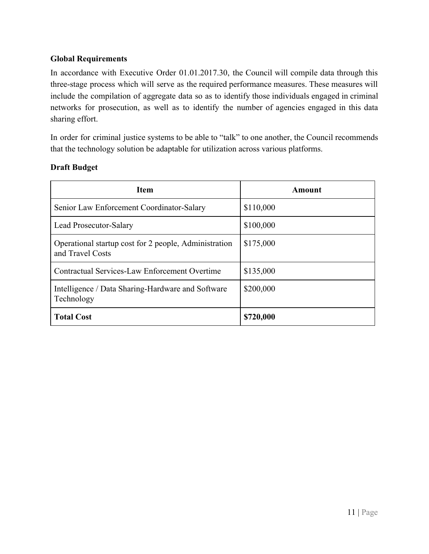#### <span id="page-11-0"></span>**Global Requirements**

In accordance with Executive Order 01.01.2017.30, the Council will compile data through this three-stage process which will serve as the required performance measures. These measures will include the compilation of aggregate data so as to identify those individuals engaged in criminal networks for prosecution, as well as to identify the number of agencies engaged in this data sharing effort.

In order for criminal justice systems to be able to "talk" to one another, the Council recommends that the technology solution be adaptable for utilization across various platforms.

#### **Draft Budget**

| <b>Item</b>                                                               | Amount    |
|---------------------------------------------------------------------------|-----------|
| Senior Law Enforcement Coordinator-Salary                                 | \$110,000 |
| Lead Prosecutor-Salary                                                    | \$100,000 |
| Operational startup cost for 2 people, Administration<br>and Travel Costs | \$175,000 |
| Contractual Services-Law Enforcement Overtime                             | \$135,000 |
| Intelligence / Data Sharing-Hardware and Software<br>Technology           | \$200,000 |
| <b>Total Cost</b>                                                         | \$720,000 |